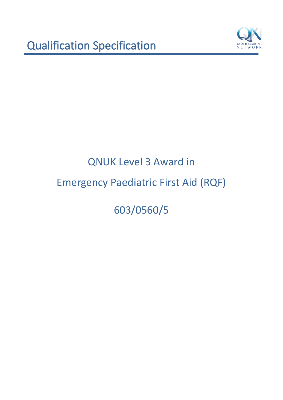

603/0560/5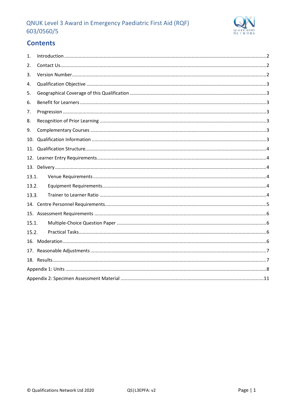

# **Contents**

| 1.    |  |
|-------|--|
| 2.    |  |
| 3.    |  |
| 4.    |  |
| 5.    |  |
| 6.    |  |
| 7.    |  |
| 8.    |  |
| 9.    |  |
| 10.   |  |
| 11.   |  |
|       |  |
|       |  |
| 13.1. |  |
| 13.2. |  |
| 13.3. |  |
|       |  |
|       |  |
| 15.1. |  |
| 15.2. |  |
|       |  |
|       |  |
|       |  |
|       |  |
|       |  |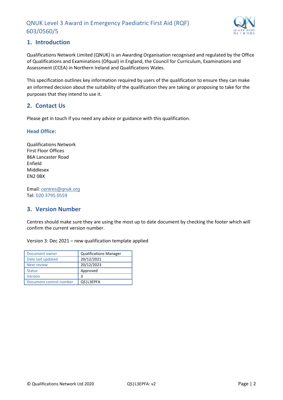

## <span id="page-2-0"></span>**1. Introduction**

Qualifications Network Limited (QNUK) is an Awarding Organisation recognised and regulated by the Office of Qualifications and Examinations (Ofqual) in England, the Council for Curriculum, Examinations and Assessment (CCEA) in Northern Ireland and Qualifications Wales.

This specification outlines key information required by users of the qualification to ensure they can make an informed decision about the suitability of the qualification they are taking or proposing to take for the purposes that they intend to use it.

## <span id="page-2-1"></span>**2. Contact Us**

Please get in touch if you need any advice or guidance with this qualification.

#### **Head Office:**

Qualifications Network First Floor Offices 86A Lancaster Road Enfield Middlesex EN2 0BX

Email: [centres@qnuk.org](mailto:CentreSupport@Qualifications-Network.co.uk) Tel: 020 3795 0559

## <span id="page-2-2"></span>**3. Version Number**

Centres should make sure they are using the most up to date document by checking the footer which will confirm the current version number.

Version 3: Dec 2021 – new qualification template applied

| Document owner          | <b>Qualifications Manager</b> |
|-------------------------|-------------------------------|
| Date last updated       | 20/12/2021                    |
| Next review             | 20/12/2023                    |
| <b>Status</b>           | Approved                      |
| Version                 | 3                             |
| Document control number | QS   L3EPFA                   |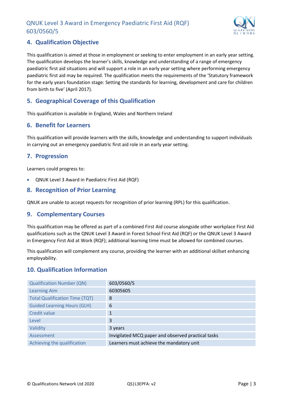

## <span id="page-3-0"></span>**4. Qualification Objective**

This qualification is aimed at those in employment or seeking to enter employment in an early year setting. The qualification develops the learner's skills, knowledge and understanding of a range of emergency paediatric first aid situations and will support a role in an early year setting where performing emergency paediatric first aid may be required. The qualification meets the requirements of the 'Statutory framework for the early years foundation stage: Setting the standards for learning, development and care for children from birth to five' (April 2017).

## <span id="page-3-1"></span>**5. Geographical Coverage of this Qualification**

This qualification is available in England, Wales and Northern Ireland

#### <span id="page-3-2"></span>**6. Benefit for Learners**

This qualification will provide learners with the skills, knowledge and understanding to support individuals in carrying out an emergency paediatric first aid role in an early year setting.

## <span id="page-3-3"></span>**7. Progression**

Learners could progress to:

• QNUK Level 3 Award in Paediatric First Aid (RQF)

## <span id="page-3-4"></span>**8. Recognition of Prior Learning**

QNUK are unable to accept requests for recognition of prior learning (RPL) for this qualification.

#### <span id="page-3-5"></span>**9. Complementary Courses**

This qualification may be offered as part of a combined First Aid course alongside other workplace First Aid qualifications such as the QNUK Level 3 Award in Forest School First Aid (RQF) or the QNUK Level 3 Award in Emergency First Aid at Work (RQF); additional learning time must be allowed for combined courses.

This qualification will complement any course, providing the learner with an additional skillset enhancing employability.

## <span id="page-3-6"></span>**10. Qualification Information**

| <b>Qualification Number (QN)</b>      | 603/0560/5                                         |
|---------------------------------------|----------------------------------------------------|
| <b>Learning Aim</b>                   | 60305605                                           |
| <b>Total Qualification Time (TQT)</b> | 8                                                  |
| <b>Guided Learning Hours (GLH)</b>    | 6                                                  |
| Credit value                          | 1                                                  |
| Level                                 | 3                                                  |
| Validity                              | 3 years                                            |
| Assessment                            | Invigilated MCQ paper and observed practical tasks |
| Achieving the qualification           | Learners must achieve the mandatory unit           |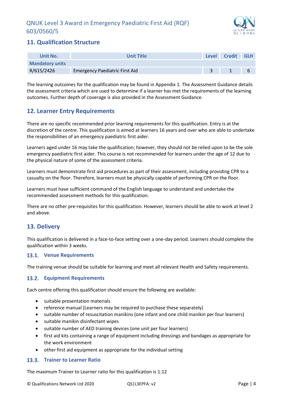

## <span id="page-4-0"></span>**11. Qualification Structure**

| <b>Unit No.</b>        | <b>Unit Title</b>                     | Level | <b>Credit</b> | <b>GLH</b> |
|------------------------|---------------------------------------|-------|---------------|------------|
| <b>Mandatory units</b> |                                       |       |               |            |
| R/615/2426             | <b>Emergency Paediatric First Aid</b> |       |               | ь          |

The learning outcomes for the qualification may be found in Appendix 1. The Assessment Guidance details the assessment criteria which are used to determine if a learner has met the requirements of the learning outcomes. Further depth of coverage is also provided in the Assessment Guidance.

## <span id="page-4-1"></span>**12. Learner Entry Requirements**

There are no specific recommended prior learning requirements for this qualification. Entry is at the discretion of the centre. This qualification is aimed at learners 16 years and over who are able to undertake the responsibilities of an emergency paediatric first aider.

Learners aged under 16 may take the qualification; however, they should not be relied upon to be the sole emergency paediatric first aider. This course is not recommended for learners under the age of 12 due to the physical nature of some of the assessment criteria.

Learners must demonstrate first aid procedures as part of their assessment, including providing CPR to a casualty on the floor. Therefore, learners must be physically capable of performing CPR on the floor.

Learners must have sufficient command of the English language to understand and undertake the recommended assessment methods for this qualification.

There are no other pre-requisites for this qualification. However, learners should be able to work at level 2 and above.

## <span id="page-4-2"></span>**13. Delivery**

This qualification is delivered in a face-to-face setting over a one-day period. Learners should complete the qualification within 3 weeks.

#### <span id="page-4-3"></span>**Venue Requirements**

The training venue should be suitable for learning and meet all relevant Health and Safety requirements.

#### <span id="page-4-4"></span>**Equipment Requirements**

Each centre offering this qualification should ensure the following are available:

- suitable presentation materials
- reference manual (Learners may be required to purchase these separately)
- suitable number of resuscitation manikins (one infant and one child manikin per four learners)
- suitable manikin disinfectant wipes
- suitable number of AED training devices (one unit per four learners)
- first aid kits containing a range of equipment including dressings and bandages as appropriate for the work environment
- other first aid equipment as appropriate for the individual setting

#### <span id="page-4-5"></span>**Trainer to Learner Ratio**

The maximum Trainer to Learner ratio for this qualification is 1:12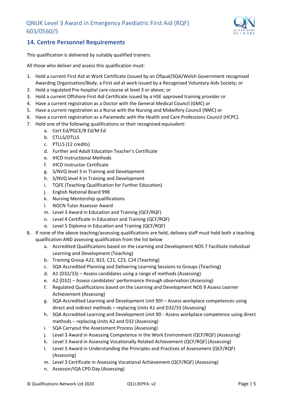

## <span id="page-5-0"></span>**14. Centre Personnel Requirements**

This qualification is delivered by suitably qualified trainers.

All those who deliver and assess this qualification must:

- 1. Hold a current First Aid at Work Certificate (issued by an Ofqual/SQA/Welsh Government recognised Awarding Organisation/Body, a First aid at work issued by a Recognised Voluntary Aids Society; or
- 2. Hold a regulated Pre-hospital care course at level 3 or above; or
- 3. Hold a current Offshore First Aid Certificate issued by a HSE approved training provider or
- 4. Have a current registration as a Doctor with the General Medical Council (GMC) or
- 5. Have a current registration as a Nurse with the Nursing and Midwifery Council (NMC) or
- 6. Have a current registration as a Paramedic with the Health and Care Professions Council (HCPC).
- 7. Hold one of the following qualifications or their recognised equivalent:
	- a. Cert Ed/PGCE/B Ed/M Ed
	- b. CTLLS/DTLLS
	- c. PTLLS (12 credits)
	- d. Further and Adult Education Teacher's Certificate
	- e. IHCD Instructional Methods
	- f. IHCD Instructor Certificate
	- g. S/NVQ level 3 in Training and Development
	- h. S/NVQ level 4 in Training and Development
	- i. TQFE (Teaching Qualification for Further Education)
	- j. English National Board 998
	- k. Nursing Mentorship qualifications
	- l. NOCN Tutor Assessor Award
	- m. Level 3 Award in Education and Training (QCF/RQF)
	- n. Level 4 Certificate in Education and Training (QCF/RQF)
	- o. Level 5 Diploma in Education and Training (QCF/RQF)
- 8. If none of the above teaching/assessing qualifications are held, delivery staff must hold both a teaching qualification AND assessing qualification from the list below
	- a. Accredited Qualifications based on the Learning and Development NOS 7 Facilitate Individual Learning and Development (Teaching)
	- b. Training Group A22, B22, C21, C23, C24 (Teaching)
	- c. SQA Accredited Planning and Delivering Learning Sessions to Groups (Teaching)
	- d. A1 (D32/33) Assess candidates using a range of methods (Assessing)
	- e. A2 (D32) Assess candidates' performance through observation (Assessing)
	- f. Regulated Qualifications based on the Learning and Development NOS 9 Assess Learner Achievement (Assessing)
	- g. SQA Accredited Learning and Development Unit 9DI Assess workplace competences using direct and indirect methods – replacing Units A1 and D32/33 (Assessing)
	- h. SQA Accredited Learning and Development Unit 9D Assess workplace competence using direct methods – replacing Units A2 and D32 (Assessing)
	- i. SQA Carryout the Assessment Process (Assessing)
	- j. Level 3 Award in Assessing Competence in the Work Environment (QCF/RQF) (Assessing)
	- k. Level 3 Award in Assessing Vocationally Related Achievement (QCF/RQF) (Assessing)
	- l. Level 3 Award in Understanding the Principles and Practices of Assessment (QCF/RQF) (Assessing)
	- m. Level 3 Certificate in Assessing Vocational Achievement (QCF/RQF) (Assessing)
	- n. Assessor/IQA CPD Day (Assessing)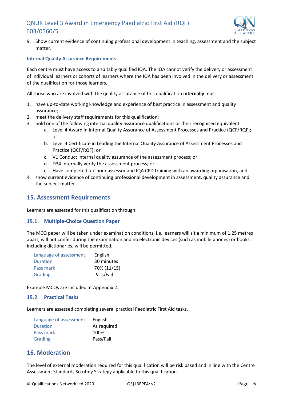

9. Show current evidence of continuing professional development in teaching, assessment and the subject matter.

#### **Internal Quality Assurance Requirements**

Each centre must have access to a suitably qualified IQA. The IQA cannot verify the delivery or assessment of individual learners or cohorts of learners where the IQA has been involved in the delivery or assessment of the qualification for those learners.

All those who are involved with the quality assurance of this qualification **internally** must:

- 1. have up-to-date working knowledge and experience of best practice in assessment and quality assurance;
- 2. meet the delivery staff requirements for this qualification:
- 3. hold one of the following internal quality assurance qualifications or their recognised equivalent:
	- a. Level 4 Award in Internal Quality Assurance of Assessment Processes and Practice (QCF/RQF); or
	- b. Level 4 Certificate in Leading the Internal Quality Assurance of Assessment Processes and Practice (QCF/RQF); or
	- c. V1 Conduct internal quality assurance of the assessment process; or
	- d. D34 Internally verify the assessment process; or
	- e. Have completed a 7-hour assessor and IQA CPD training with an awarding organisation, and
- 4. show current evidence of continuing professional development in assessment, quality assurance and the subject matter.

#### <span id="page-6-0"></span>**15. Assessment Requirements**

Learners are assessed for this qualification through:

#### <span id="page-6-1"></span>**15.1. Multiple-Choice Question Paper**

The MCQ paper will be taken under examination conditions, i.e. learners will sit a minimum of 1.25 metres apart, will not confer during the examination and no electronic devices (such as mobile phones) or books, including dictionaries, will be permitted.

| Language of assessment | English     |
|------------------------|-------------|
| Duration               | 30 minutes  |
| Pass mark              | 70% (11/15) |
| Grading                | Pass/Fail   |

Example MCQs are included at Appendix 2.

#### <span id="page-6-2"></span>15.2. Practical Tasks

Learners are assessed completing several practical Paediatric First Aid tasks.

| Language of assessment | English     |
|------------------------|-------------|
| Duration               | As required |
| Pass mark              | 100%        |
| Grading                | Pass/Fail   |

#### <span id="page-6-3"></span>**16. Moderation**

The level of external moderation required for this qualification will be risk based and in line with the Centre Assessment Standards Scrutiny Strategy applicable to this qualification.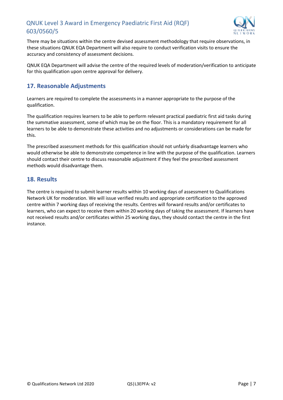

There may be situations within the centre devised assessment methodology that require observations, in these situations QNUK EQA Department will also require to conduct verification visits to ensure the accuracy and consistency of assessment decisions.

QNUK EQA Department will advise the centre of the required levels of moderation/verification to anticipate for this qualification upon centre approval for delivery.

## <span id="page-7-0"></span>**17. Reasonable Adjustments**

Learners are required to complete the assessments in a manner appropriate to the purpose of the qualification.

The qualification requires learners to be able to perform relevant practical paediatric first aid tasks during the summative assessment, some of which may be on the floor. This is a mandatory requirement for all learners to be able to demonstrate these activities and no adjustments or considerations can be made for this.

The prescribed assessment methods for this qualification should not unfairly disadvantage learners who would otherwise be able to demonstrate competence in line with the purpose of the qualification. Learners should contact their centre to discuss reasonable adjustment if they feel the prescribed assessment methods would disadvantage them.

## <span id="page-7-1"></span>**18. Results**

The centre is required to submit learner results within 10 working days of assessment to Qualifications Network UK for moderation. We will issue verified results and appropriate certification to the approved centre within 7 working days of receiving the results. Centres will forward results and/or certificates to learners, who can expect to receive them within 20 working days of taking the assessment. If learners have not received results and/or certificates within 25 working days, they should contact the centre in the first instance.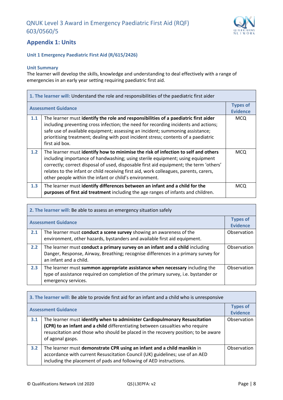

## <span id="page-8-0"></span>**Appendix 1: Units**

#### **Unit 1 Emergency Paediatric First Aid (R/615/2426)**

#### **Unit Summary**

The learner will develop the skills, knowledge and understanding to deal effectively with a range of emergencies in an early year setting requiring paediatric first aid.

| 1. The learner will: Understand the role and responsibilities of the paediatric first aider |                                                                                                                                                                                                                                                                                                                                                                                                                  |                                    |
|---------------------------------------------------------------------------------------------|------------------------------------------------------------------------------------------------------------------------------------------------------------------------------------------------------------------------------------------------------------------------------------------------------------------------------------------------------------------------------------------------------------------|------------------------------------|
| <b>Assessment Guidance</b>                                                                  |                                                                                                                                                                                                                                                                                                                                                                                                                  | <b>Types of</b><br><b>Evidence</b> |
| 1.1                                                                                         | The learner must identify the role and responsibilities of a paediatric first aider<br>including preventing cross infection; the need for recording incidents and actions;<br>safe use of available equipment; assessing an incident; summoning assistance;<br>prioritising treatment; dealing with post incident stress; contents of a paediatric<br>first aid box.                                             | <b>MCQ</b>                         |
| 1.2                                                                                         | The learner must identify how to minimise the risk of infection to self and others<br>including importance of handwashing; using sterile equipment; using equipment<br>correctly; correct disposal of used, disposable first aid equipment; the term 'others'<br>relates to the infant or child receiving first aid, work colleagues, parents, carers,<br>other people within the infant or child's environment. | <b>MCQ</b>                         |
| 1.3                                                                                         | The learner must identify differences between an infant and a child for the<br>purposes of first aid treatment including the age ranges of infants and children.                                                                                                                                                                                                                                                 | <b>MCQ</b>                         |

| 2. The learner will: Be able to assess an emergency situation safely |                                                                                                                                                                                              |                                    |
|----------------------------------------------------------------------|----------------------------------------------------------------------------------------------------------------------------------------------------------------------------------------------|------------------------------------|
| <b>Assessment Guidance</b>                                           |                                                                                                                                                                                              | <b>Types of</b><br><b>Evidence</b> |
| 2.1                                                                  | The learner must conduct a scene survey showing an awareness of the<br>environment, other hazards, bystanders and available first aid equipment.                                             | Observation                        |
| 2.2                                                                  | The learner must conduct a primary survey on an infant and a child including<br>Danger, Response, Airway, Breathing; recognise differences in a primary survey for<br>an infant and a child. | Observation                        |
| 2.3                                                                  | The learner must summon appropriate assistance when necessary including the<br>type of assistance required on completion of the primary survey, i.e. bystander or<br>emergency services.     | Observation                        |

| 3. The learner will: Be able to provide first aid for an infant and a child who is unresponsive |                                                                                                                                                                                                                                                                       |                                    |
|-------------------------------------------------------------------------------------------------|-----------------------------------------------------------------------------------------------------------------------------------------------------------------------------------------------------------------------------------------------------------------------|------------------------------------|
| <b>Assessment Guidance</b>                                                                      |                                                                                                                                                                                                                                                                       | <b>Types of</b><br><b>Evidence</b> |
| 3.1                                                                                             | The learner must identify when to administer Cardiopulmonary Resuscitation<br>(CPR) to an infant and a child differentiating between casualties who require<br>resuscitation and those who should be placed in the recovery position; to be aware<br>of agonal gasps. | Observation                        |
| 3.2                                                                                             | The learner must demonstrate CPR using an infant and a child manikin in<br>accordance with current Resuscitation Council (UK) guidelines; use of an AED<br>including the placement of pads and following of AED instructions.                                         | Observation                        |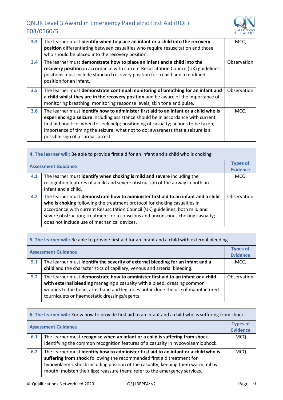

| 3.3 | The learner must identify when to place an infant or a child into the recovery<br>position differentiating between casualties who require resuscitation and those<br>who should be placed into the recovery position.                                                                                                                                                                     | <b>MCQ</b>  |
|-----|-------------------------------------------------------------------------------------------------------------------------------------------------------------------------------------------------------------------------------------------------------------------------------------------------------------------------------------------------------------------------------------------|-------------|
| 3.4 | The learner must demonstrate how to place an infant and a child into the<br>recovery position in accordance with current Resuscitation Council (UK) guidelines;<br>positions must include standard recovery position for a child and a modified<br>position for an infant.                                                                                                                | Observation |
| 3.5 | The learner must demonstrate continual monitoring of breathing for an infant and<br>a child whilst they are in the recovery position and be aware of the importance of<br>monitoring breathing; monitoring response levels, skin tone and pulse.                                                                                                                                          | Observation |
| 3.6 | The learner must identify how to administer first aid to an infant or a child who is<br>experiencing a seizure including assistance should be in accordance with current<br>first aid practice; when to seek help; positioning of casualty; actions to be taken;<br>importance of timing the seizure; what not to do; awareness that a seizure is a<br>possible sign of a cardiac arrest. | <b>MCQ</b>  |

| 4. The learner will: Be able to provide first aid for an infant and a child who is choking |                                                                                                                                                                                                                                                                                                                                                                                  |                                    |
|--------------------------------------------------------------------------------------------|----------------------------------------------------------------------------------------------------------------------------------------------------------------------------------------------------------------------------------------------------------------------------------------------------------------------------------------------------------------------------------|------------------------------------|
| <b>Assessment Guidance</b>                                                                 |                                                                                                                                                                                                                                                                                                                                                                                  | <b>Types of</b><br><b>Evidence</b> |
| 4.1                                                                                        | The learner must identify when choking is mild and severe including the<br>recognition features of a mild and severe obstruction of the airway in both an<br>infant and a child.                                                                                                                                                                                                 | <b>MCQ</b>                         |
| 4.2                                                                                        | The learner must demonstrate how to administer first aid to an infant and a child<br>who is choking following the treatment protocol for choking casualties in<br>accordance with current Resuscitation Council (UK) guidelines; both mild and<br>severe obstruction; treatment for a conscious and unconscious choking casualty;<br>does not include use of mechanical devices. | Observation                        |

| 5. The learner will: Be able to provide first aid for an infant and a child with external bleeding |                                                                                                                                                                                                                                                                                                 |                                    |
|----------------------------------------------------------------------------------------------------|-------------------------------------------------------------------------------------------------------------------------------------------------------------------------------------------------------------------------------------------------------------------------------------------------|------------------------------------|
| <b>Assessment Guidance</b>                                                                         |                                                                                                                                                                                                                                                                                                 | <b>Types of</b><br><b>Evidence</b> |
| 5.1                                                                                                | The learner must identify the severity of external bleeding for an infant and a<br>child and the characteristics of capillary, venous and arterial bleeding.                                                                                                                                    | <b>MCQ</b>                         |
| 5.2                                                                                                | The learner must demonstrate how to administer first aid to an infant or a child<br>with external bleeding managing a casualty with a bleed; dressing common<br>wounds to the head, arm, hand and leg; does not include the use of manufactured<br>tourniquets or haemostatic dressings/agents. | Observation                        |

| 6. The learner will: Know how to provide first aid to an infant and a child who is suffering from shock |                                                                                                                                                                                                                                                                                                                                  |                                    |
|---------------------------------------------------------------------------------------------------------|----------------------------------------------------------------------------------------------------------------------------------------------------------------------------------------------------------------------------------------------------------------------------------------------------------------------------------|------------------------------------|
|                                                                                                         | <b>Assessment Guidance</b>                                                                                                                                                                                                                                                                                                       | <b>Types of</b><br><b>Evidence</b> |
| 6.1                                                                                                     | The learner must recognise when an infant or a child is suffering from shock<br>identifying the common recognition features of a casualty in hypovolaemic shock.                                                                                                                                                                 | MCQ                                |
| 6.2                                                                                                     | The learner must identify how to administer first aid to an infant or a child who is<br>suffering from shock following the recommended first aid treatment for<br>hypovolaemic shock including position of the casualty; keeping them warm; nil by<br>mouth; moisten their lips; reassure them; refer to the emergency services. | <b>MCQ</b>                         |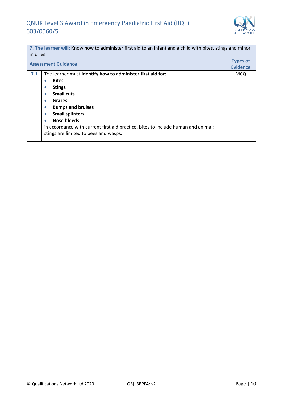

| 7. The learner will: Know how to administer first aid to an infant and a child with bites, stings and minor<br>injuries |                                                                                                                                                                                                                                                                                                                                                                                                     |                                    |  |
|-------------------------------------------------------------------------------------------------------------------------|-----------------------------------------------------------------------------------------------------------------------------------------------------------------------------------------------------------------------------------------------------------------------------------------------------------------------------------------------------------------------------------------------------|------------------------------------|--|
| <b>Assessment Guidance</b>                                                                                              |                                                                                                                                                                                                                                                                                                                                                                                                     | <b>Types of</b><br><b>Evidence</b> |  |
| 7.1                                                                                                                     | The learner must identify how to administer first aid for:<br><b>Bites</b><br>$\bullet$<br><b>Stings</b><br>$\bullet$<br><b>Small cuts</b><br>$\bullet$<br>Grazes<br>$\bullet$<br><b>Bumps and bruises</b><br>$\bullet$<br><b>Small splinters</b><br>٠<br>Nose bleeds<br>in accordance with current first aid practice, bites to include human and animal;<br>stings are limited to bees and wasps. | <b>MCQ</b>                         |  |